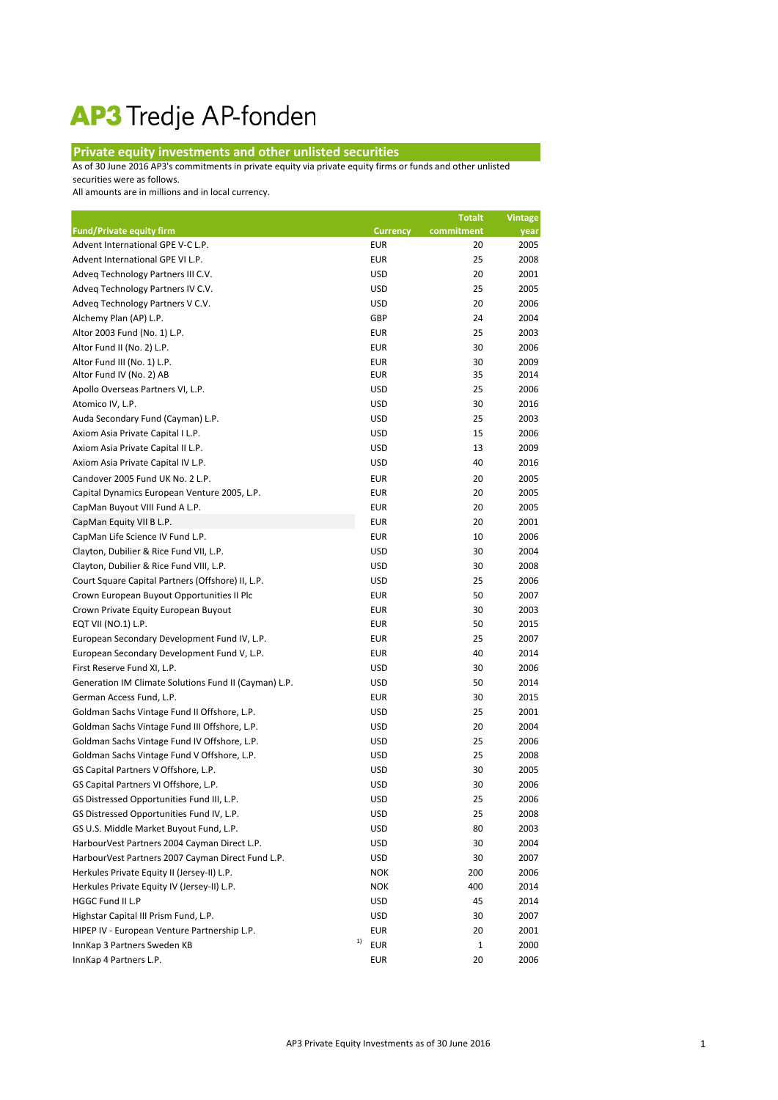## AP3 Tredje AP-fonden

## **Private equity investments and other unlisted securities**

As of 30 June 2016 AP3's commitments in private equity via private equity firms or funds and other unlisted securities were as follows.

All amounts are in millions and in local currency.

| <b>Fund/Private equity firm</b><br>commitment<br><b>Currency</b><br>year<br>Advent International GPE V-C L.P.<br><b>EUR</b><br>20<br>2005<br><b>EUR</b><br>Advent International GPE VI L.P.<br>25<br>2008<br><b>USD</b><br>Adveg Technology Partners III C.V.<br>20<br>2001<br><b>USD</b><br>Adveg Technology Partners IV C.V.<br>25<br>2005<br>Adveg Technology Partners V C.V.<br><b>USD</b><br>20<br>2006<br>GBP<br>24<br>2004<br>Alchemy Plan (AP) L.P.<br>Altor 2003 Fund (No. 1) L.P.<br><b>EUR</b><br>25<br>2003<br>Altor Fund II (No. 2) L.P.<br><b>EUR</b><br>30<br>2006<br>Altor Fund III (No. 1) L.P.<br><b>EUR</b><br>30<br>2009<br>Altor Fund IV (No. 2) AB<br><b>EUR</b><br>35<br>2014<br><b>USD</b><br>25<br>2006<br>Apollo Overseas Partners VI, L.P.<br><b>USD</b><br>30<br>2016<br>Atomico IV, L.P.<br>Auda Secondary Fund (Cayman) L.P.<br><b>USD</b><br>25<br>2003<br><b>USD</b><br>15<br>2006<br>Axiom Asia Private Capital I L.P.<br><b>USD</b><br>13<br>2009<br>Axiom Asia Private Capital II L.P.<br><b>USD</b><br>Axiom Asia Private Capital IV L.P.<br>40<br>2016<br>Candover 2005 Fund UK No. 2 L.P.<br><b>EUR</b><br>20<br>2005<br><b>EUR</b><br>Capital Dynamics European Venture 2005, L.P.<br>20<br>2005<br><b>EUR</b><br>20<br>2005<br>CapMan Buyout VIII Fund A L.P.<br><b>EUR</b><br>20<br>2001<br>CapMan Equity VII B L.P.<br>CapMan Life Science IV Fund L.P.<br><b>EUR</b><br>10<br>2006<br>Clayton, Dubilier & Rice Fund VII, L.P.<br><b>USD</b><br>30<br>2004<br>Clayton, Dubilier & Rice Fund VIII, L.P.<br><b>USD</b><br>30<br>2008<br><b>USD</b><br>25<br>2006<br>Court Square Capital Partners (Offshore) II, L.P.<br><b>EUR</b><br>50<br>2007<br>Crown European Buyout Opportunities II Plc<br><b>EUR</b><br>30<br>2003<br>Crown Private Equity European Buyout<br>EQT VII (NO.1) L.P.<br><b>EUR</b><br>50<br>2015<br>European Secondary Development Fund IV, L.P.<br><b>EUR</b><br>25<br>2007<br>European Secondary Development Fund V, L.P.<br><b>EUR</b><br>40<br>2014<br>First Reserve Fund XI, L.P.<br><b>USD</b><br>30<br>2006<br>Generation IM Climate Solutions Fund II (Cayman) L.P.<br><b>USD</b><br>50<br>2014<br><b>EUR</b><br>German Access Fund, L.P.<br>30<br>2015<br><b>USD</b><br>Goldman Sachs Vintage Fund II Offshore, L.P.<br>25<br>2001<br>Goldman Sachs Vintage Fund III Offshore, L.P.<br><b>USD</b><br>20<br>2004<br>Goldman Sachs Vintage Fund IV Offshore, L.P.<br><b>USD</b><br>25<br>2006<br>Goldman Sachs Vintage Fund V Offshore, L.P.<br><b>USD</b><br>25<br>2008<br><b>USD</b><br>30<br>2005<br>GS Capital Partners V Offshore, L.P.<br>GS Capital Partners VI Offshore, L.P.<br><b>USD</b><br>30<br>2006<br><b>USD</b><br>2006<br>GS Distressed Opportunities Fund III, L.P.<br>25<br><b>USD</b><br>GS Distressed Opportunities Fund IV, L.P.<br>25<br>2008<br>GS U.S. Middle Market Buyout Fund, L.P.<br><b>USD</b><br>80<br>2003<br>HarbourVest Partners 2004 Cayman Direct L.P.<br>USD<br>30<br>2004<br>HarbourVest Partners 2007 Cayman Direct Fund L.P.<br><b>USD</b><br>30<br>2007<br>Herkules Private Equity II (Jersey-II) L.P.<br><b>NOK</b><br>200<br>2006<br>Herkules Private Equity IV (Jersey-II) L.P.<br><b>NOK</b><br>400<br>2014<br>HGGC Fund II L.P<br><b>USD</b><br>45<br>2014<br>Highstar Capital III Prism Fund, L.P.<br><b>USD</b><br>30<br>2007<br>HIPEP IV - European Venture Partnership L.P.<br><b>EUR</b><br>20<br>2001<br>1)<br><b>EUR</b><br>InnKap 3 Partners Sweden KB<br>1<br>2000<br>InnKap 4 Partners L.P.<br>EUR<br>20<br>2006 |  | <b>Totalt</b> | <b>Vintage</b> |
|------------------------------------------------------------------------------------------------------------------------------------------------------------------------------------------------------------------------------------------------------------------------------------------------------------------------------------------------------------------------------------------------------------------------------------------------------------------------------------------------------------------------------------------------------------------------------------------------------------------------------------------------------------------------------------------------------------------------------------------------------------------------------------------------------------------------------------------------------------------------------------------------------------------------------------------------------------------------------------------------------------------------------------------------------------------------------------------------------------------------------------------------------------------------------------------------------------------------------------------------------------------------------------------------------------------------------------------------------------------------------------------------------------------------------------------------------------------------------------------------------------------------------------------------------------------------------------------------------------------------------------------------------------------------------------------------------------------------------------------------------------------------------------------------------------------------------------------------------------------------------------------------------------------------------------------------------------------------------------------------------------------------------------------------------------------------------------------------------------------------------------------------------------------------------------------------------------------------------------------------------------------------------------------------------------------------------------------------------------------------------------------------------------------------------------------------------------------------------------------------------------------------------------------------------------------------------------------------------------------------------------------------------------------------------------------------------------------------------------------------------------------------------------------------------------------------------------------------------------------------------------------------------------------------------------------------------------------------------------------------------------------------------------------------------------------------------------------------------------------------------------------------------------------------------------------------------------------------------------------------------------------------------------------------------------------------------------------------------------------------------------------------------------------------------------------------------------------------------------------------------------------------------------------------|--|---------------|----------------|
|                                                                                                                                                                                                                                                                                                                                                                                                                                                                                                                                                                                                                                                                                                                                                                                                                                                                                                                                                                                                                                                                                                                                                                                                                                                                                                                                                                                                                                                                                                                                                                                                                                                                                                                                                                                                                                                                                                                                                                                                                                                                                                                                                                                                                                                                                                                                                                                                                                                                                                                                                                                                                                                                                                                                                                                                                                                                                                                                                                                                                                                                                                                                                                                                                                                                                                                                                                                                                                                                                                                                                |  |               |                |
|                                                                                                                                                                                                                                                                                                                                                                                                                                                                                                                                                                                                                                                                                                                                                                                                                                                                                                                                                                                                                                                                                                                                                                                                                                                                                                                                                                                                                                                                                                                                                                                                                                                                                                                                                                                                                                                                                                                                                                                                                                                                                                                                                                                                                                                                                                                                                                                                                                                                                                                                                                                                                                                                                                                                                                                                                                                                                                                                                                                                                                                                                                                                                                                                                                                                                                                                                                                                                                                                                                                                                |  |               |                |
|                                                                                                                                                                                                                                                                                                                                                                                                                                                                                                                                                                                                                                                                                                                                                                                                                                                                                                                                                                                                                                                                                                                                                                                                                                                                                                                                                                                                                                                                                                                                                                                                                                                                                                                                                                                                                                                                                                                                                                                                                                                                                                                                                                                                                                                                                                                                                                                                                                                                                                                                                                                                                                                                                                                                                                                                                                                                                                                                                                                                                                                                                                                                                                                                                                                                                                                                                                                                                                                                                                                                                |  |               |                |
|                                                                                                                                                                                                                                                                                                                                                                                                                                                                                                                                                                                                                                                                                                                                                                                                                                                                                                                                                                                                                                                                                                                                                                                                                                                                                                                                                                                                                                                                                                                                                                                                                                                                                                                                                                                                                                                                                                                                                                                                                                                                                                                                                                                                                                                                                                                                                                                                                                                                                                                                                                                                                                                                                                                                                                                                                                                                                                                                                                                                                                                                                                                                                                                                                                                                                                                                                                                                                                                                                                                                                |  |               |                |
|                                                                                                                                                                                                                                                                                                                                                                                                                                                                                                                                                                                                                                                                                                                                                                                                                                                                                                                                                                                                                                                                                                                                                                                                                                                                                                                                                                                                                                                                                                                                                                                                                                                                                                                                                                                                                                                                                                                                                                                                                                                                                                                                                                                                                                                                                                                                                                                                                                                                                                                                                                                                                                                                                                                                                                                                                                                                                                                                                                                                                                                                                                                                                                                                                                                                                                                                                                                                                                                                                                                                                |  |               |                |
|                                                                                                                                                                                                                                                                                                                                                                                                                                                                                                                                                                                                                                                                                                                                                                                                                                                                                                                                                                                                                                                                                                                                                                                                                                                                                                                                                                                                                                                                                                                                                                                                                                                                                                                                                                                                                                                                                                                                                                                                                                                                                                                                                                                                                                                                                                                                                                                                                                                                                                                                                                                                                                                                                                                                                                                                                                                                                                                                                                                                                                                                                                                                                                                                                                                                                                                                                                                                                                                                                                                                                |  |               |                |
|                                                                                                                                                                                                                                                                                                                                                                                                                                                                                                                                                                                                                                                                                                                                                                                                                                                                                                                                                                                                                                                                                                                                                                                                                                                                                                                                                                                                                                                                                                                                                                                                                                                                                                                                                                                                                                                                                                                                                                                                                                                                                                                                                                                                                                                                                                                                                                                                                                                                                                                                                                                                                                                                                                                                                                                                                                                                                                                                                                                                                                                                                                                                                                                                                                                                                                                                                                                                                                                                                                                                                |  |               |                |
|                                                                                                                                                                                                                                                                                                                                                                                                                                                                                                                                                                                                                                                                                                                                                                                                                                                                                                                                                                                                                                                                                                                                                                                                                                                                                                                                                                                                                                                                                                                                                                                                                                                                                                                                                                                                                                                                                                                                                                                                                                                                                                                                                                                                                                                                                                                                                                                                                                                                                                                                                                                                                                                                                                                                                                                                                                                                                                                                                                                                                                                                                                                                                                                                                                                                                                                                                                                                                                                                                                                                                |  |               |                |
|                                                                                                                                                                                                                                                                                                                                                                                                                                                                                                                                                                                                                                                                                                                                                                                                                                                                                                                                                                                                                                                                                                                                                                                                                                                                                                                                                                                                                                                                                                                                                                                                                                                                                                                                                                                                                                                                                                                                                                                                                                                                                                                                                                                                                                                                                                                                                                                                                                                                                                                                                                                                                                                                                                                                                                                                                                                                                                                                                                                                                                                                                                                                                                                                                                                                                                                                                                                                                                                                                                                                                |  |               |                |
|                                                                                                                                                                                                                                                                                                                                                                                                                                                                                                                                                                                                                                                                                                                                                                                                                                                                                                                                                                                                                                                                                                                                                                                                                                                                                                                                                                                                                                                                                                                                                                                                                                                                                                                                                                                                                                                                                                                                                                                                                                                                                                                                                                                                                                                                                                                                                                                                                                                                                                                                                                                                                                                                                                                                                                                                                                                                                                                                                                                                                                                                                                                                                                                                                                                                                                                                                                                                                                                                                                                                                |  |               |                |
|                                                                                                                                                                                                                                                                                                                                                                                                                                                                                                                                                                                                                                                                                                                                                                                                                                                                                                                                                                                                                                                                                                                                                                                                                                                                                                                                                                                                                                                                                                                                                                                                                                                                                                                                                                                                                                                                                                                                                                                                                                                                                                                                                                                                                                                                                                                                                                                                                                                                                                                                                                                                                                                                                                                                                                                                                                                                                                                                                                                                                                                                                                                                                                                                                                                                                                                                                                                                                                                                                                                                                |  |               |                |
|                                                                                                                                                                                                                                                                                                                                                                                                                                                                                                                                                                                                                                                                                                                                                                                                                                                                                                                                                                                                                                                                                                                                                                                                                                                                                                                                                                                                                                                                                                                                                                                                                                                                                                                                                                                                                                                                                                                                                                                                                                                                                                                                                                                                                                                                                                                                                                                                                                                                                                                                                                                                                                                                                                                                                                                                                                                                                                                                                                                                                                                                                                                                                                                                                                                                                                                                                                                                                                                                                                                                                |  |               |                |
|                                                                                                                                                                                                                                                                                                                                                                                                                                                                                                                                                                                                                                                                                                                                                                                                                                                                                                                                                                                                                                                                                                                                                                                                                                                                                                                                                                                                                                                                                                                                                                                                                                                                                                                                                                                                                                                                                                                                                                                                                                                                                                                                                                                                                                                                                                                                                                                                                                                                                                                                                                                                                                                                                                                                                                                                                                                                                                                                                                                                                                                                                                                                                                                                                                                                                                                                                                                                                                                                                                                                                |  |               |                |
|                                                                                                                                                                                                                                                                                                                                                                                                                                                                                                                                                                                                                                                                                                                                                                                                                                                                                                                                                                                                                                                                                                                                                                                                                                                                                                                                                                                                                                                                                                                                                                                                                                                                                                                                                                                                                                                                                                                                                                                                                                                                                                                                                                                                                                                                                                                                                                                                                                                                                                                                                                                                                                                                                                                                                                                                                                                                                                                                                                                                                                                                                                                                                                                                                                                                                                                                                                                                                                                                                                                                                |  |               |                |
|                                                                                                                                                                                                                                                                                                                                                                                                                                                                                                                                                                                                                                                                                                                                                                                                                                                                                                                                                                                                                                                                                                                                                                                                                                                                                                                                                                                                                                                                                                                                                                                                                                                                                                                                                                                                                                                                                                                                                                                                                                                                                                                                                                                                                                                                                                                                                                                                                                                                                                                                                                                                                                                                                                                                                                                                                                                                                                                                                                                                                                                                                                                                                                                                                                                                                                                                                                                                                                                                                                                                                |  |               |                |
|                                                                                                                                                                                                                                                                                                                                                                                                                                                                                                                                                                                                                                                                                                                                                                                                                                                                                                                                                                                                                                                                                                                                                                                                                                                                                                                                                                                                                                                                                                                                                                                                                                                                                                                                                                                                                                                                                                                                                                                                                                                                                                                                                                                                                                                                                                                                                                                                                                                                                                                                                                                                                                                                                                                                                                                                                                                                                                                                                                                                                                                                                                                                                                                                                                                                                                                                                                                                                                                                                                                                                |  |               |                |
|                                                                                                                                                                                                                                                                                                                                                                                                                                                                                                                                                                                                                                                                                                                                                                                                                                                                                                                                                                                                                                                                                                                                                                                                                                                                                                                                                                                                                                                                                                                                                                                                                                                                                                                                                                                                                                                                                                                                                                                                                                                                                                                                                                                                                                                                                                                                                                                                                                                                                                                                                                                                                                                                                                                                                                                                                                                                                                                                                                                                                                                                                                                                                                                                                                                                                                                                                                                                                                                                                                                                                |  |               |                |
|                                                                                                                                                                                                                                                                                                                                                                                                                                                                                                                                                                                                                                                                                                                                                                                                                                                                                                                                                                                                                                                                                                                                                                                                                                                                                                                                                                                                                                                                                                                                                                                                                                                                                                                                                                                                                                                                                                                                                                                                                                                                                                                                                                                                                                                                                                                                                                                                                                                                                                                                                                                                                                                                                                                                                                                                                                                                                                                                                                                                                                                                                                                                                                                                                                                                                                                                                                                                                                                                                                                                                |  |               |                |
|                                                                                                                                                                                                                                                                                                                                                                                                                                                                                                                                                                                                                                                                                                                                                                                                                                                                                                                                                                                                                                                                                                                                                                                                                                                                                                                                                                                                                                                                                                                                                                                                                                                                                                                                                                                                                                                                                                                                                                                                                                                                                                                                                                                                                                                                                                                                                                                                                                                                                                                                                                                                                                                                                                                                                                                                                                                                                                                                                                                                                                                                                                                                                                                                                                                                                                                                                                                                                                                                                                                                                |  |               |                |
|                                                                                                                                                                                                                                                                                                                                                                                                                                                                                                                                                                                                                                                                                                                                                                                                                                                                                                                                                                                                                                                                                                                                                                                                                                                                                                                                                                                                                                                                                                                                                                                                                                                                                                                                                                                                                                                                                                                                                                                                                                                                                                                                                                                                                                                                                                                                                                                                                                                                                                                                                                                                                                                                                                                                                                                                                                                                                                                                                                                                                                                                                                                                                                                                                                                                                                                                                                                                                                                                                                                                                |  |               |                |
|                                                                                                                                                                                                                                                                                                                                                                                                                                                                                                                                                                                                                                                                                                                                                                                                                                                                                                                                                                                                                                                                                                                                                                                                                                                                                                                                                                                                                                                                                                                                                                                                                                                                                                                                                                                                                                                                                                                                                                                                                                                                                                                                                                                                                                                                                                                                                                                                                                                                                                                                                                                                                                                                                                                                                                                                                                                                                                                                                                                                                                                                                                                                                                                                                                                                                                                                                                                                                                                                                                                                                |  |               |                |
|                                                                                                                                                                                                                                                                                                                                                                                                                                                                                                                                                                                                                                                                                                                                                                                                                                                                                                                                                                                                                                                                                                                                                                                                                                                                                                                                                                                                                                                                                                                                                                                                                                                                                                                                                                                                                                                                                                                                                                                                                                                                                                                                                                                                                                                                                                                                                                                                                                                                                                                                                                                                                                                                                                                                                                                                                                                                                                                                                                                                                                                                                                                                                                                                                                                                                                                                                                                                                                                                                                                                                |  |               |                |
|                                                                                                                                                                                                                                                                                                                                                                                                                                                                                                                                                                                                                                                                                                                                                                                                                                                                                                                                                                                                                                                                                                                                                                                                                                                                                                                                                                                                                                                                                                                                                                                                                                                                                                                                                                                                                                                                                                                                                                                                                                                                                                                                                                                                                                                                                                                                                                                                                                                                                                                                                                                                                                                                                                                                                                                                                                                                                                                                                                                                                                                                                                                                                                                                                                                                                                                                                                                                                                                                                                                                                |  |               |                |
|                                                                                                                                                                                                                                                                                                                                                                                                                                                                                                                                                                                                                                                                                                                                                                                                                                                                                                                                                                                                                                                                                                                                                                                                                                                                                                                                                                                                                                                                                                                                                                                                                                                                                                                                                                                                                                                                                                                                                                                                                                                                                                                                                                                                                                                                                                                                                                                                                                                                                                                                                                                                                                                                                                                                                                                                                                                                                                                                                                                                                                                                                                                                                                                                                                                                                                                                                                                                                                                                                                                                                |  |               |                |
|                                                                                                                                                                                                                                                                                                                                                                                                                                                                                                                                                                                                                                                                                                                                                                                                                                                                                                                                                                                                                                                                                                                                                                                                                                                                                                                                                                                                                                                                                                                                                                                                                                                                                                                                                                                                                                                                                                                                                                                                                                                                                                                                                                                                                                                                                                                                                                                                                                                                                                                                                                                                                                                                                                                                                                                                                                                                                                                                                                                                                                                                                                                                                                                                                                                                                                                                                                                                                                                                                                                                                |  |               |                |
|                                                                                                                                                                                                                                                                                                                                                                                                                                                                                                                                                                                                                                                                                                                                                                                                                                                                                                                                                                                                                                                                                                                                                                                                                                                                                                                                                                                                                                                                                                                                                                                                                                                                                                                                                                                                                                                                                                                                                                                                                                                                                                                                                                                                                                                                                                                                                                                                                                                                                                                                                                                                                                                                                                                                                                                                                                                                                                                                                                                                                                                                                                                                                                                                                                                                                                                                                                                                                                                                                                                                                |  |               |                |
|                                                                                                                                                                                                                                                                                                                                                                                                                                                                                                                                                                                                                                                                                                                                                                                                                                                                                                                                                                                                                                                                                                                                                                                                                                                                                                                                                                                                                                                                                                                                                                                                                                                                                                                                                                                                                                                                                                                                                                                                                                                                                                                                                                                                                                                                                                                                                                                                                                                                                                                                                                                                                                                                                                                                                                                                                                                                                                                                                                                                                                                                                                                                                                                                                                                                                                                                                                                                                                                                                                                                                |  |               |                |
|                                                                                                                                                                                                                                                                                                                                                                                                                                                                                                                                                                                                                                                                                                                                                                                                                                                                                                                                                                                                                                                                                                                                                                                                                                                                                                                                                                                                                                                                                                                                                                                                                                                                                                                                                                                                                                                                                                                                                                                                                                                                                                                                                                                                                                                                                                                                                                                                                                                                                                                                                                                                                                                                                                                                                                                                                                                                                                                                                                                                                                                                                                                                                                                                                                                                                                                                                                                                                                                                                                                                                |  |               |                |
|                                                                                                                                                                                                                                                                                                                                                                                                                                                                                                                                                                                                                                                                                                                                                                                                                                                                                                                                                                                                                                                                                                                                                                                                                                                                                                                                                                                                                                                                                                                                                                                                                                                                                                                                                                                                                                                                                                                                                                                                                                                                                                                                                                                                                                                                                                                                                                                                                                                                                                                                                                                                                                                                                                                                                                                                                                                                                                                                                                                                                                                                                                                                                                                                                                                                                                                                                                                                                                                                                                                                                |  |               |                |
|                                                                                                                                                                                                                                                                                                                                                                                                                                                                                                                                                                                                                                                                                                                                                                                                                                                                                                                                                                                                                                                                                                                                                                                                                                                                                                                                                                                                                                                                                                                                                                                                                                                                                                                                                                                                                                                                                                                                                                                                                                                                                                                                                                                                                                                                                                                                                                                                                                                                                                                                                                                                                                                                                                                                                                                                                                                                                                                                                                                                                                                                                                                                                                                                                                                                                                                                                                                                                                                                                                                                                |  |               |                |
|                                                                                                                                                                                                                                                                                                                                                                                                                                                                                                                                                                                                                                                                                                                                                                                                                                                                                                                                                                                                                                                                                                                                                                                                                                                                                                                                                                                                                                                                                                                                                                                                                                                                                                                                                                                                                                                                                                                                                                                                                                                                                                                                                                                                                                                                                                                                                                                                                                                                                                                                                                                                                                                                                                                                                                                                                                                                                                                                                                                                                                                                                                                                                                                                                                                                                                                                                                                                                                                                                                                                                |  |               |                |
|                                                                                                                                                                                                                                                                                                                                                                                                                                                                                                                                                                                                                                                                                                                                                                                                                                                                                                                                                                                                                                                                                                                                                                                                                                                                                                                                                                                                                                                                                                                                                                                                                                                                                                                                                                                                                                                                                                                                                                                                                                                                                                                                                                                                                                                                                                                                                                                                                                                                                                                                                                                                                                                                                                                                                                                                                                                                                                                                                                                                                                                                                                                                                                                                                                                                                                                                                                                                                                                                                                                                                |  |               |                |
|                                                                                                                                                                                                                                                                                                                                                                                                                                                                                                                                                                                                                                                                                                                                                                                                                                                                                                                                                                                                                                                                                                                                                                                                                                                                                                                                                                                                                                                                                                                                                                                                                                                                                                                                                                                                                                                                                                                                                                                                                                                                                                                                                                                                                                                                                                                                                                                                                                                                                                                                                                                                                                                                                                                                                                                                                                                                                                                                                                                                                                                                                                                                                                                                                                                                                                                                                                                                                                                                                                                                                |  |               |                |
|                                                                                                                                                                                                                                                                                                                                                                                                                                                                                                                                                                                                                                                                                                                                                                                                                                                                                                                                                                                                                                                                                                                                                                                                                                                                                                                                                                                                                                                                                                                                                                                                                                                                                                                                                                                                                                                                                                                                                                                                                                                                                                                                                                                                                                                                                                                                                                                                                                                                                                                                                                                                                                                                                                                                                                                                                                                                                                                                                                                                                                                                                                                                                                                                                                                                                                                                                                                                                                                                                                                                                |  |               |                |
|                                                                                                                                                                                                                                                                                                                                                                                                                                                                                                                                                                                                                                                                                                                                                                                                                                                                                                                                                                                                                                                                                                                                                                                                                                                                                                                                                                                                                                                                                                                                                                                                                                                                                                                                                                                                                                                                                                                                                                                                                                                                                                                                                                                                                                                                                                                                                                                                                                                                                                                                                                                                                                                                                                                                                                                                                                                                                                                                                                                                                                                                                                                                                                                                                                                                                                                                                                                                                                                                                                                                                |  |               |                |
|                                                                                                                                                                                                                                                                                                                                                                                                                                                                                                                                                                                                                                                                                                                                                                                                                                                                                                                                                                                                                                                                                                                                                                                                                                                                                                                                                                                                                                                                                                                                                                                                                                                                                                                                                                                                                                                                                                                                                                                                                                                                                                                                                                                                                                                                                                                                                                                                                                                                                                                                                                                                                                                                                                                                                                                                                                                                                                                                                                                                                                                                                                                                                                                                                                                                                                                                                                                                                                                                                                                                                |  |               |                |
|                                                                                                                                                                                                                                                                                                                                                                                                                                                                                                                                                                                                                                                                                                                                                                                                                                                                                                                                                                                                                                                                                                                                                                                                                                                                                                                                                                                                                                                                                                                                                                                                                                                                                                                                                                                                                                                                                                                                                                                                                                                                                                                                                                                                                                                                                                                                                                                                                                                                                                                                                                                                                                                                                                                                                                                                                                                                                                                                                                                                                                                                                                                                                                                                                                                                                                                                                                                                                                                                                                                                                |  |               |                |
|                                                                                                                                                                                                                                                                                                                                                                                                                                                                                                                                                                                                                                                                                                                                                                                                                                                                                                                                                                                                                                                                                                                                                                                                                                                                                                                                                                                                                                                                                                                                                                                                                                                                                                                                                                                                                                                                                                                                                                                                                                                                                                                                                                                                                                                                                                                                                                                                                                                                                                                                                                                                                                                                                                                                                                                                                                                                                                                                                                                                                                                                                                                                                                                                                                                                                                                                                                                                                                                                                                                                                |  |               |                |
|                                                                                                                                                                                                                                                                                                                                                                                                                                                                                                                                                                                                                                                                                                                                                                                                                                                                                                                                                                                                                                                                                                                                                                                                                                                                                                                                                                                                                                                                                                                                                                                                                                                                                                                                                                                                                                                                                                                                                                                                                                                                                                                                                                                                                                                                                                                                                                                                                                                                                                                                                                                                                                                                                                                                                                                                                                                                                                                                                                                                                                                                                                                                                                                                                                                                                                                                                                                                                                                                                                                                                |  |               |                |
|                                                                                                                                                                                                                                                                                                                                                                                                                                                                                                                                                                                                                                                                                                                                                                                                                                                                                                                                                                                                                                                                                                                                                                                                                                                                                                                                                                                                                                                                                                                                                                                                                                                                                                                                                                                                                                                                                                                                                                                                                                                                                                                                                                                                                                                                                                                                                                                                                                                                                                                                                                                                                                                                                                                                                                                                                                                                                                                                                                                                                                                                                                                                                                                                                                                                                                                                                                                                                                                                                                                                                |  |               |                |
|                                                                                                                                                                                                                                                                                                                                                                                                                                                                                                                                                                                                                                                                                                                                                                                                                                                                                                                                                                                                                                                                                                                                                                                                                                                                                                                                                                                                                                                                                                                                                                                                                                                                                                                                                                                                                                                                                                                                                                                                                                                                                                                                                                                                                                                                                                                                                                                                                                                                                                                                                                                                                                                                                                                                                                                                                                                                                                                                                                                                                                                                                                                                                                                                                                                                                                                                                                                                                                                                                                                                                |  |               |                |
|                                                                                                                                                                                                                                                                                                                                                                                                                                                                                                                                                                                                                                                                                                                                                                                                                                                                                                                                                                                                                                                                                                                                                                                                                                                                                                                                                                                                                                                                                                                                                                                                                                                                                                                                                                                                                                                                                                                                                                                                                                                                                                                                                                                                                                                                                                                                                                                                                                                                                                                                                                                                                                                                                                                                                                                                                                                                                                                                                                                                                                                                                                                                                                                                                                                                                                                                                                                                                                                                                                                                                |  |               |                |
|                                                                                                                                                                                                                                                                                                                                                                                                                                                                                                                                                                                                                                                                                                                                                                                                                                                                                                                                                                                                                                                                                                                                                                                                                                                                                                                                                                                                                                                                                                                                                                                                                                                                                                                                                                                                                                                                                                                                                                                                                                                                                                                                                                                                                                                                                                                                                                                                                                                                                                                                                                                                                                                                                                                                                                                                                                                                                                                                                                                                                                                                                                                                                                                                                                                                                                                                                                                                                                                                                                                                                |  |               |                |
|                                                                                                                                                                                                                                                                                                                                                                                                                                                                                                                                                                                                                                                                                                                                                                                                                                                                                                                                                                                                                                                                                                                                                                                                                                                                                                                                                                                                                                                                                                                                                                                                                                                                                                                                                                                                                                                                                                                                                                                                                                                                                                                                                                                                                                                                                                                                                                                                                                                                                                                                                                                                                                                                                                                                                                                                                                                                                                                                                                                                                                                                                                                                                                                                                                                                                                                                                                                                                                                                                                                                                |  |               |                |
|                                                                                                                                                                                                                                                                                                                                                                                                                                                                                                                                                                                                                                                                                                                                                                                                                                                                                                                                                                                                                                                                                                                                                                                                                                                                                                                                                                                                                                                                                                                                                                                                                                                                                                                                                                                                                                                                                                                                                                                                                                                                                                                                                                                                                                                                                                                                                                                                                                                                                                                                                                                                                                                                                                                                                                                                                                                                                                                                                                                                                                                                                                                                                                                                                                                                                                                                                                                                                                                                                                                                                |  |               |                |
|                                                                                                                                                                                                                                                                                                                                                                                                                                                                                                                                                                                                                                                                                                                                                                                                                                                                                                                                                                                                                                                                                                                                                                                                                                                                                                                                                                                                                                                                                                                                                                                                                                                                                                                                                                                                                                                                                                                                                                                                                                                                                                                                                                                                                                                                                                                                                                                                                                                                                                                                                                                                                                                                                                                                                                                                                                                                                                                                                                                                                                                                                                                                                                                                                                                                                                                                                                                                                                                                                                                                                |  |               |                |
|                                                                                                                                                                                                                                                                                                                                                                                                                                                                                                                                                                                                                                                                                                                                                                                                                                                                                                                                                                                                                                                                                                                                                                                                                                                                                                                                                                                                                                                                                                                                                                                                                                                                                                                                                                                                                                                                                                                                                                                                                                                                                                                                                                                                                                                                                                                                                                                                                                                                                                                                                                                                                                                                                                                                                                                                                                                                                                                                                                                                                                                                                                                                                                                                                                                                                                                                                                                                                                                                                                                                                |  |               |                |
|                                                                                                                                                                                                                                                                                                                                                                                                                                                                                                                                                                                                                                                                                                                                                                                                                                                                                                                                                                                                                                                                                                                                                                                                                                                                                                                                                                                                                                                                                                                                                                                                                                                                                                                                                                                                                                                                                                                                                                                                                                                                                                                                                                                                                                                                                                                                                                                                                                                                                                                                                                                                                                                                                                                                                                                                                                                                                                                                                                                                                                                                                                                                                                                                                                                                                                                                                                                                                                                                                                                                                |  |               |                |
|                                                                                                                                                                                                                                                                                                                                                                                                                                                                                                                                                                                                                                                                                                                                                                                                                                                                                                                                                                                                                                                                                                                                                                                                                                                                                                                                                                                                                                                                                                                                                                                                                                                                                                                                                                                                                                                                                                                                                                                                                                                                                                                                                                                                                                                                                                                                                                                                                                                                                                                                                                                                                                                                                                                                                                                                                                                                                                                                                                                                                                                                                                                                                                                                                                                                                                                                                                                                                                                                                                                                                |  |               |                |
|                                                                                                                                                                                                                                                                                                                                                                                                                                                                                                                                                                                                                                                                                                                                                                                                                                                                                                                                                                                                                                                                                                                                                                                                                                                                                                                                                                                                                                                                                                                                                                                                                                                                                                                                                                                                                                                                                                                                                                                                                                                                                                                                                                                                                                                                                                                                                                                                                                                                                                                                                                                                                                                                                                                                                                                                                                                                                                                                                                                                                                                                                                                                                                                                                                                                                                                                                                                                                                                                                                                                                |  |               |                |
|                                                                                                                                                                                                                                                                                                                                                                                                                                                                                                                                                                                                                                                                                                                                                                                                                                                                                                                                                                                                                                                                                                                                                                                                                                                                                                                                                                                                                                                                                                                                                                                                                                                                                                                                                                                                                                                                                                                                                                                                                                                                                                                                                                                                                                                                                                                                                                                                                                                                                                                                                                                                                                                                                                                                                                                                                                                                                                                                                                                                                                                                                                                                                                                                                                                                                                                                                                                                                                                                                                                                                |  |               |                |